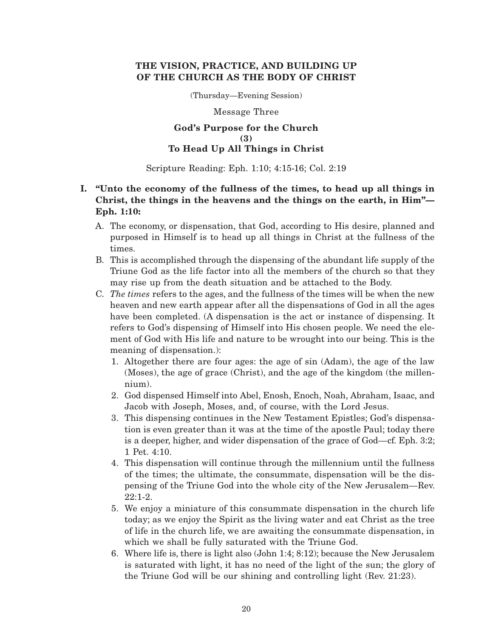# **THE VISION, PRACTICE, AND BUILDING UP OF THE CHURCH AS THE BODY OF CHRIST**

(Thursday—Evening Session)

Message Three

## **God's Purpose for the Church (3) To Head Up All Things in Christ**

## Scripture Reading: Eph. 1:10; 4:15-16; Col. 2:19

# **I. "Unto the economy of the fullness of the times, to head up all things in Christ, the things in the heavens and the things on the earth, in Him"— Eph. 1:10:**

- A. The economy, or dispensation, that God, according to His desire, planned and purposed in Himself is to head up all things in Christ at the fullness of the times.
- B. This is accomplished through the dispensing of the abundant life supply of the Triune God as the life factor into all the members of the church so that they may rise up from the death situation and be attached to the Body.
- C. *The times* refers to the ages, and the fullness of the times will be when the new heaven and new earth appear after all the dispensations of God in all the ages have been completed. (A dispensation is the act or instance of dispensing. It refers to God's dispensing of Himself into His chosen people. We need the element of God with His life and nature to be wrought into our being. This is the meaning of dispensation.):
	- 1. Altogether there are four ages: the age of sin (Adam), the age of the law (Moses), the age of grace (Christ), and the age of the kingdom (the millennium).
	- 2. God dispensed Himself into Abel, Enosh, Enoch, Noah, Abraham, Isaac, and Jacob with Joseph, Moses, and, of course, with the Lord Jesus.
	- 3. This dispensing continues in the New Testament Epistles; God's dispensation is even greater than it was at the time of the apostle Paul; today there is a deeper, higher, and wider dispensation of the grace of God—cf. Eph. 3:2; 1 Pet. 4:10.
	- 4. This dispensation will continue through the millennium until the fullness of the times; the ultimate, the consummate, dispensation will be the dispensing of the Triune God into the whole city of the New Jerusalem—Rev.  $22:1-2.$
	- 5. We enjoy a miniature of this consummate dispensation in the church life today; as we enjoy the Spirit as the living water and eat Christ as the tree of life in the church life, we are awaiting the consummate dispensation, in which we shall be fully saturated with the Triune God.
	- 6. Where life is, there is light also (John 1:4; 8:12); because the New Jerusalem is saturated with light, it has no need of the light of the sun; the glory of the Triune God will be our shining and controlling light (Rev. 21:23).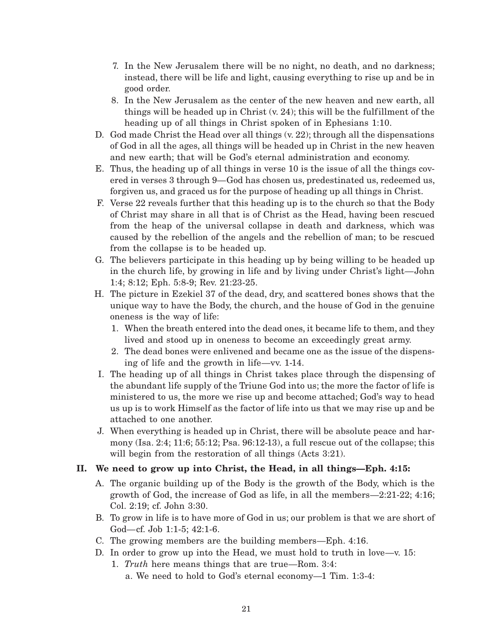- 7. In the New Jerusalem there will be no night, no death, and no darkness; instead, there will be life and light, causing everything to rise up and be in good order.
- 8. In the New Jerusalem as the center of the new heaven and new earth, all things will be headed up in Christ (v. 24); this will be the fulfillment of the heading up of all things in Christ spoken of in Ephesians 1:10.
- D. God made Christ the Head over all things (v. 22); through all the dispensations of God in all the ages, all things will be headed up in Christ in the new heaven and new earth; that will be God's eternal administration and economy.
- E. Thus, the heading up of all things in verse 10 is the issue of all the things covered in verses 3 through 9—God has chosen us, predestinated us, redeemed us, forgiven us, and graced us for the purpose of heading up all things in Christ.
- F. Verse 22 reveals further that this heading up is to the church so that the Body of Christ may share in all that is of Christ as the Head, having been rescued from the heap of the universal collapse in death and darkness, which was caused by the rebellion of the angels and the rebellion of man; to be rescued from the collapse is to be headed up.
- G. The believers participate in this heading up by being willing to be headed up in the church life, by growing in life and by living under Christ's light—John 1:4; 8:12; Eph. 5:8-9; Rev. 21:23-25.
- H. The picture in Ezekiel 37 of the dead, dry, and scattered bones shows that the unique way to have the Body, the church, and the house of God in the genuine oneness is the way of life:
	- 1. When the breath entered into the dead ones, it became life to them, and they lived and stood up in oneness to become an exceedingly great army.
	- 2. The dead bones were enlivened and became one as the issue of the dispensing of life and the growth in life—vv. 1-14.
- I. The heading up of all things in Christ takes place through the dispensing of the abundant life supply of the Triune God into us; the more the factor of life is ministered to us, the more we rise up and become attached; God's way to head us up is to work Himself as the factor of life into us that we may rise up and be attached to one another.
- J. When everything is headed up in Christ, there will be absolute peace and harmony (Isa. 2:4; 11:6; 55:12; Psa. 96:12-13), a full rescue out of the collapse; this will begin from the restoration of all things (Acts 3:21).

# **II. We need to grow up into Christ, the Head, in all things—Eph. 4:15:**

- A. The organic building up of the Body is the growth of the Body, which is the growth of God, the increase of God as life, in all the members—2:21-22; 4:16; Col. 2:19; cf. John 3:30.
- B. To grow in life is to have more of God in us; our problem is that we are short of God—cf. Job 1:1-5; 42:1-6.
- C. The growing members are the building members—Eph. 4:16.
- D. In order to grow up into the Head, we must hold to truth in love—v. 15:
	- 1. *Truth* here means things that are true—Rom. 3:4: a. We need to hold to God's eternal economy—1 Tim. 1:3-4: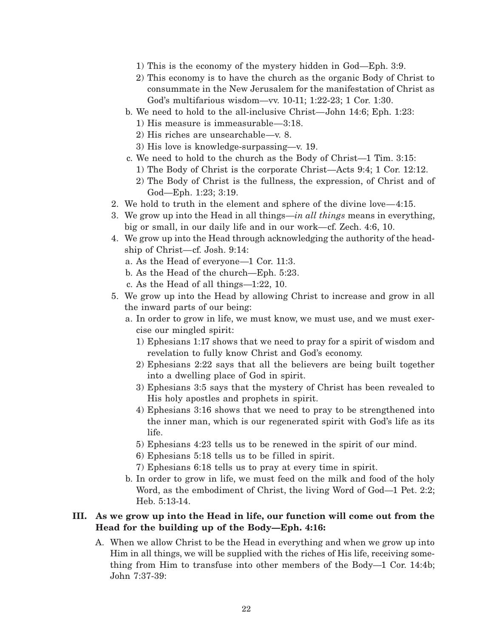- 1) This is the economy of the mystery hidden in God—Eph. 3:9.
- 2) This economy is to have the church as the organic Body of Christ to consummate in the New Jerusalem for the manifestation of Christ as God's multifarious wisdom—vv. 10-11; 1:22-23; 1 Cor. 1:30.
- b. We need to hold to the all-inclusive Christ—John 14:6; Eph. 1:23:
	- 1) His measure is immeasurable—3:18.
	- 2) His riches are unsearchable—v. 8.
	- 3) His love is knowledge-surpassing—v. 19.
- c. We need to hold to the church as the Body of Christ—1 Tim. 3:15:
	- 1) The Body of Christ is the corporate Christ—Acts 9:4; 1 Cor. 12:12.
	- 2) The Body of Christ is the fullness, the expression, of Christ and of God—Eph. 1:23; 3:19.
- 2. We hold to truth in the element and sphere of the divine love—4:15.
- 3. We grow up into the Head in all things—*in all things* means in everything, big or small, in our daily life and in our work—cf. Zech. 4:6, 10.
- 4. We grow up into the Head through acknowledging the authority of the headship of Christ—cf. Josh. 9:14:
	- a. As the Head of everyone—1 Cor. 11:3.
	- b. As the Head of the church—Eph. 5:23.
	- c. As the Head of all things—1:22, 10.
- 5. We grow up into the Head by allowing Christ to increase and grow in all the inward parts of our being:
	- a. In order to grow in life, we must know, we must use, and we must exercise our mingled spirit:
		- 1) Ephesians 1:17 shows that we need to pray for a spirit of wisdom and revelation to fully know Christ and God's economy.
		- 2) Ephesians 2:22 says that all the believers are being built together into a dwelling place of God in spirit.
		- 3) Ephesians 3:5 says that the mystery of Christ has been revealed to His holy apostles and prophets in spirit.
		- 4) Ephesians 3:16 shows that we need to pray to be strengthened into the inner man, which is our regenerated spirit with God's life as its life.
		- 5) Ephesians 4:23 tells us to be renewed in the spirit of our mind.
		- 6) Ephesians 5:18 tells us to be filled in spirit.
		- 7) Ephesians 6:18 tells us to pray at every time in spirit.
	- b. In order to grow in life, we must feed on the milk and food of the holy Word, as the embodiment of Christ, the living Word of God—1 Pet. 2:2; Heb. 5:13-14.

## **III. As we grow up into the Head in life, our function will come out from the Head for the building up of the Body—Eph. 4:16:**

A. When we allow Christ to be the Head in everything and when we grow up into Him in all things, we will be supplied with the riches of His life, receiving something from Him to transfuse into other members of the Body—1 Cor. 14:4b; John 7:37-39: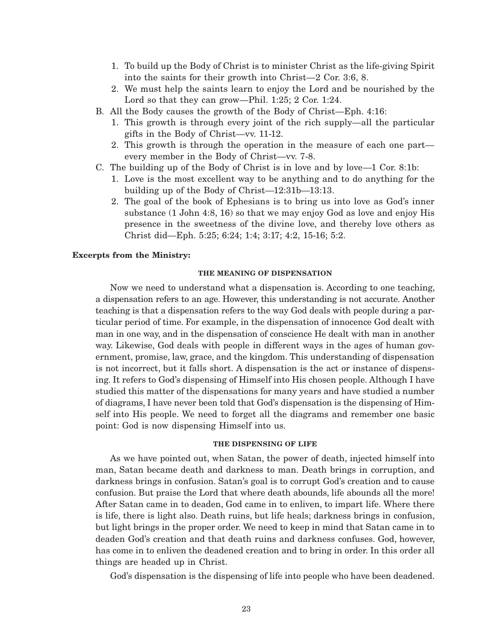- 1. To build up the Body of Christ is to minister Christ as the life-giving Spirit into the saints for their growth into Christ—2 Cor. 3:6, 8.
- 2. We must help the saints learn to enjoy the Lord and be nourished by the Lord so that they can grow—Phil. 1:25; 2 Cor. 1:24.
- B. All the Body causes the growth of the Body of Christ—Eph. 4:16:
	- 1. This growth is through every joint of the rich supply—all the particular gifts in the Body of Christ—vv. 11-12.
	- 2. This growth is through the operation in the measure of each one part every member in the Body of Christ—vv. 7-8.
- C. The building up of the Body of Christ is in love and by love—1 Cor. 8:1b:
	- 1. Love is the most excellent way to be anything and to do anything for the building up of the Body of Christ—12:31b—13:13.
	- 2. The goal of the book of Ephesians is to bring us into love as God's inner substance (1 John 4:8, 16) so that we may enjoy God as love and enjoy His presence in the sweetness of the divine love, and thereby love others as Christ did—Eph. 5:25; 6:24; 1:4; 3:17; 4:2, 15-16; 5:2.

### **Excerpts from the Ministry:**

### **THE MEANING OF DISPENSATION**

Now we need to understand what a dispensation is. According to one teaching, a dispensation refers to an age. However, this understanding is not accurate. Another teaching is that a dispensation refers to the way God deals with people during a particular period of time. For example, in the dispensation of innocence God dealt with man in one way, and in the dispensation of conscience He dealt with man in another way. Likewise, God deals with people in different ways in the ages of human government, promise, law, grace, and the kingdom. This understanding of dispensation is not incorrect, but it falls short. A dispensation is the act or instance of dispensing. It refers to God's dispensing of Himself into His chosen people. Although I have studied this matter of the dispensations for many years and have studied a number of diagrams, I have never been told that God's dispensation is the dispensing of Himself into His people. We need to forget all the diagrams and remember one basic point: God is now dispensing Himself into us.

#### **THE DISPENSING OF LIFE**

As we have pointed out, when Satan, the power of death, injected himself into man, Satan became death and darkness to man. Death brings in corruption, and darkness brings in confusion. Satan's goal is to corrupt God's creation and to cause confusion. But praise the Lord that where death abounds, life abounds all the more! After Satan came in to deaden, God came in to enliven, to impart life. Where there is life, there is light also. Death ruins, but life heals; darkness brings in confusion, but light brings in the proper order. We need to keep in mind that Satan came in to deaden God's creation and that death ruins and darkness confuses. God, however, has come in to enliven the deadened creation and to bring in order. In this order all things are headed up in Christ.

God's dispensation is the dispensing of life into people who have been deadened.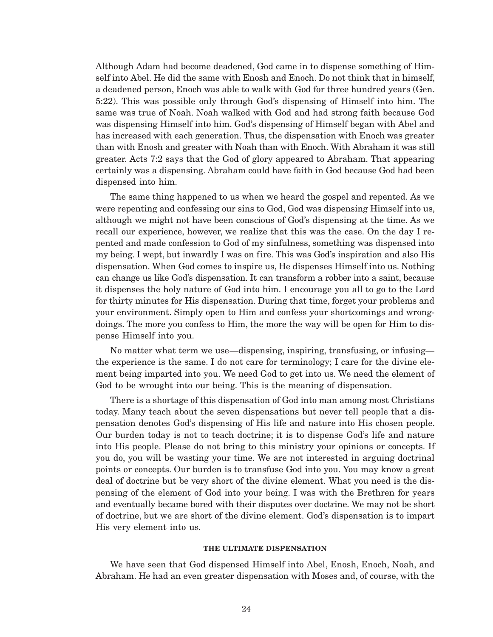Although Adam had become deadened, God came in to dispense something of Himself into Abel. He did the same with Enosh and Enoch. Do not think that in himself, a deadened person, Enoch was able to walk with God for three hundred years (Gen. 5:22). This was possible only through God's dispensing of Himself into him. The same was true of Noah. Noah walked with God and had strong faith because God was dispensing Himself into him. God's dispensing of Himself began with Abel and has increased with each generation. Thus, the dispensation with Enoch was greater than with Enosh and greater with Noah than with Enoch. With Abraham it was still greater. Acts 7:2 says that the God of glory appeared to Abraham. That appearing certainly was a dispensing. Abraham could have faith in God because God had been dispensed into him.

The same thing happened to us when we heard the gospel and repented. As we were repenting and confessing our sins to God, God was dispensing Himself into us, although we might not have been conscious of God's dispensing at the time. As we recall our experience, however, we realize that this was the case. On the day I repented and made confession to God of my sinfulness, something was dispensed into my being. I wept, but inwardly I was on fire. This was God's inspiration and also His dispensation. When God comes to inspire us, He dispenses Himself into us. Nothing can change us like God's dispensation. It can transform a robber into a saint, because it dispenses the holy nature of God into him. I encourage you all to go to the Lord for thirty minutes for His dispensation. During that time, forget your problems and your environment. Simply open to Him and confess your shortcomings and wrongdoings. The more you confess to Him, the more the way will be open for Him to dispense Himself into you.

No matter what term we use—dispensing, inspiring, transfusing, or infusing the experience is the same. I do not care for terminology; I care for the divine element being imparted into you. We need God to get into us. We need the element of God to be wrought into our being. This is the meaning of dispensation.

There is a shortage of this dispensation of God into man among most Christians today. Many teach about the seven dispensations but never tell people that a dispensation denotes God's dispensing of His life and nature into His chosen people. Our burden today is not to teach doctrine; it is to dispense God's life and nature into His people. Please do not bring to this ministry your opinions or concepts. If you do, you will be wasting your time. We are not interested in arguing doctrinal points or concepts. Our burden is to transfuse God into you. You may know a great deal of doctrine but be very short of the divine element. What you need is the dispensing of the element of God into your being. I was with the Brethren for years and eventually became bored with their disputes over doctrine. We may not be short of doctrine, but we are short of the divine element. God's dispensation is to impart His very element into us.

#### **THE ULTIMATE DISPENSATION**

We have seen that God dispensed Himself into Abel, Enosh, Enoch, Noah, and Abraham. He had an even greater dispensation with Moses and, of course, with the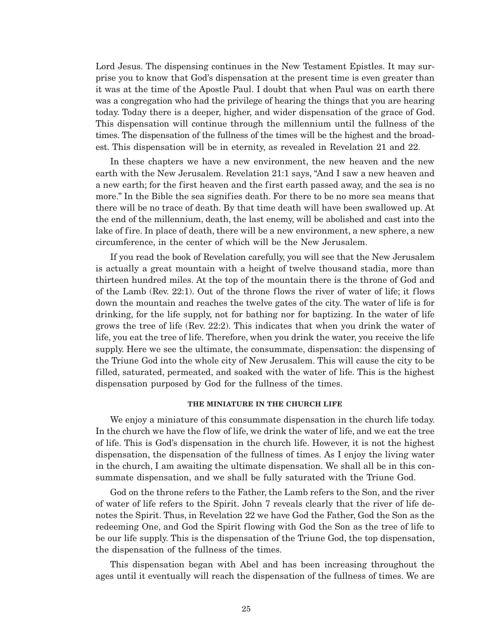Lord Jesus. The dispensing continues in the New Testament Epistles. It may surprise you to know that God's dispensation at the present time is even greater than it was at the time of the Apostle Paul. I doubt that when Paul was on earth there was a congregation who had the privilege of hearing the things that you are hearing today. Today there is a deeper, higher, and wider dispensation of the grace of God. This dispensation will continue through the millennium until the fullness of the times. The dispensation of the fullness of the times will be the highest and the broadest. This dispensation will be in eternity, as revealed in Revelation 21 and 22.

In these chapters we have a new environment, the new heaven and the new earth with the New Jerusalem. Revelation 21:1 says, "And I saw a new heaven and a new earth; for the first heaven and the first earth passed away, and the sea is no more." In the Bible the sea signifies death. For there to be no more sea means that there will be no trace of death. By that time death will have been swallowed up. At the end of the millennium, death, the last enemy, will be abolished and cast into the lake of fire. In place of death, there will be a new environment, a new sphere, a new circumference, in the center of which will be the New Jerusalem.

If you read the book of Revelation carefully, you will see that the New Jerusalem is actually a great mountain with a height of twelve thousand stadia, more than thirteen hundred miles. At the top of the mountain there is the throne of God and of the Lamb (Rev. 22:1). Out of the throne flows the river of water of life; it flows down the mountain and reaches the twelve gates of the city. The water of life is for drinking, for the life supply, not for bathing nor for baptizing. In the water of life grows the tree of life (Rev. 22:2). This indicates that when you drink the water of life, you eat the tree of life. Therefore, when you drink the water, you receive the life supply. Here we see the ultimate, the consummate, dispensation: the dispensing of the Triune God into the whole city of New Jerusalem. This will cause the city to be filled, saturated, permeated, and soaked with the water of life. This is the highest dispensation purposed by God for the fullness of the times.

### **THE MINIATURE IN THE CHURCH LIFE**

We enjoy a miniature of this consummate dispensation in the church life today. In the church we have the flow of life, we drink the water of life, and we eat the tree of life. This is God's dispensation in the church life. However, it is not the highest dispensation, the dispensation of the fullness of times. As I enjoy the living water in the church, I am awaiting the ultimate dispensation. We shall all be in this consummate dispensation, and we shall be fully saturated with the Triune God.

God on the throne refers to the Father, the Lamb refers to the Son, and the river of water of life refers to the Spirit. John 7 reveals clearly that the river of life denotes the Spirit. Thus, in Revelation 22 we have God the Father, God the Son as the redeeming One, and God the Spirit flowing with God the Son as the tree of life to be our life supply. This is the dispensation of the Triune God, the top dispensation, the dispensation of the fullness of the times.

This dispensation began with Abel and has been increasing throughout the ages until it eventually will reach the dispensation of the fullness of times. We are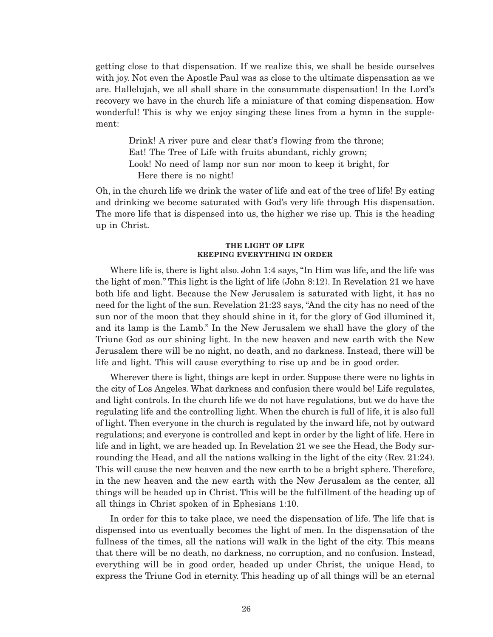getting close to that dispensation. If we realize this, we shall be beside ourselves with joy. Not even the Apostle Paul was as close to the ultimate dispensation as we are. Hallelujah, we all shall share in the consummate dispensation! In the Lord's recovery we have in the church life a miniature of that coming dispensation. How wonderful! This is why we enjoy singing these lines from a hymn in the supplement:

Drink! A river pure and clear that's flowing from the throne; Eat! The Tree of Life with fruits abundant, richly grown; Look! No need of lamp nor sun nor moon to keep it bright, for Here there is no night!

Oh, in the church life we drink the water of life and eat of the tree of life! By eating and drinking we become saturated with God's very life through His dispensation. The more life that is dispensed into us, the higher we rise up. This is the heading up in Christ.

#### **THE LIGHT OF LIFE KEEPING EVERYTHING IN ORDER**

Where life is, there is light also. John 1:4 says, "In Him was life, and the life was the light of men." This light is the light of life (John 8:12). In Revelation 21 we have both life and light. Because the New Jerusalem is saturated with light, it has no need for the light of the sun. Revelation 21:23 says, "And the city has no need of the sun nor of the moon that they should shine in it, for the glory of God illumined it, and its lamp is the Lamb." In the New Jerusalem we shall have the glory of the Triune God as our shining light. In the new heaven and new earth with the New Jerusalem there will be no night, no death, and no darkness. Instead, there will be life and light. This will cause everything to rise up and be in good order.

Wherever there is light, things are kept in order. Suppose there were no lights in the city of Los Angeles. What darkness and confusion there would be! Life regulates, and light controls. In the church life we do not have regulations, but we do have the regulating life and the controlling light. When the church is full of life, it is also full of light. Then everyone in the church is regulated by the inward life, not by outward regulations; and everyone is controlled and kept in order by the light of life. Here in life and in light, we are headed up. In Revelation 21 we see the Head, the Body surrounding the Head, and all the nations walking in the light of the city (Rev. 21:24). This will cause the new heaven and the new earth to be a bright sphere. Therefore, in the new heaven and the new earth with the New Jerusalem as the center, all things will be headed up in Christ. This will be the fulfillment of the heading up of all things in Christ spoken of in Ephesians 1:10.

In order for this to take place, we need the dispensation of life. The life that is dispensed into us eventually becomes the light of men. In the dispensation of the fullness of the times, all the nations will walk in the light of the city. This means that there will be no death, no darkness, no corruption, and no confusion. Instead, everything will be in good order, headed up under Christ, the unique Head, to express the Triune God in eternity. This heading up of all things will be an eternal